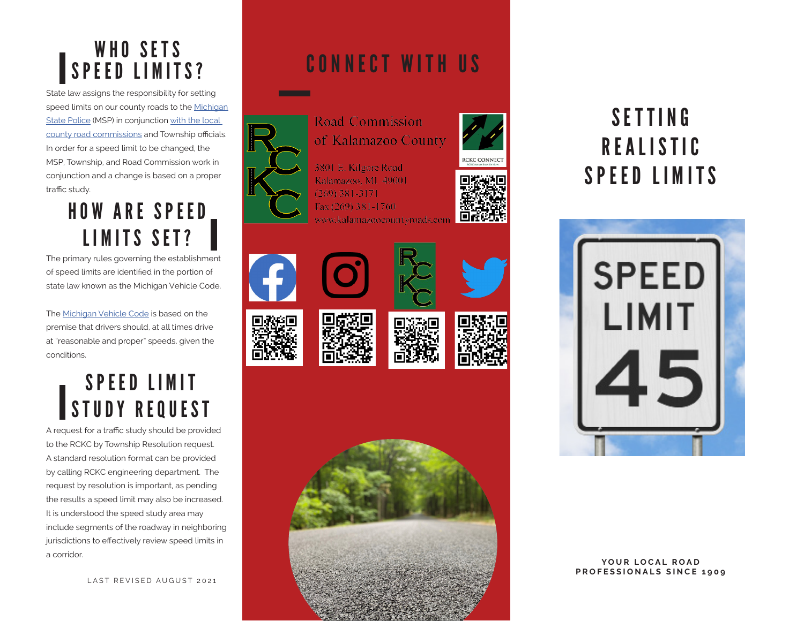#### WHO SETS SPEED LIMITS?

State law assigns the responsibility for setting speed limits on our county roads to the Michigan State Police (MSP) in conjunction with the local county road commissions and Township officials. In order for a speed limit to be changed, the MSP, Township, and Road Commission work in conjunction and a change is based on a proper traffic study.

#### HOW ARE SPEED LIMITS SET?

The primary rules governing the establishment of speed limits are identified in the portion of state law known as the Michigan Vehicle Code.

The Michigan Vehicle Code is based on the premise that drivers should, at all times drive at "reasonable and proper" speeds, given the conditions.

#### SPEED LIMIT STUDY REQUEST

A request for a traffic study should be provided to the RCKC by Township Resolution request. A standard resolution format can be provided by calling RCKC engineering department. The request by resolution is important, as pending the results a speed limit may also be increased. It is understood the speed study area may include segments of the roadway in neighboring jurisdictions to effectively review speed limits in a corridor.

LAST REVISED AUGUST 2021

### CONNECT WITH US



of Kalamazoo County

**RCKC CONNECT** 















### SETTING **REALISTIC** SPEED LIMITS



YOUR LOCAL ROAD **PROFESSIONALS SINCE 1909**